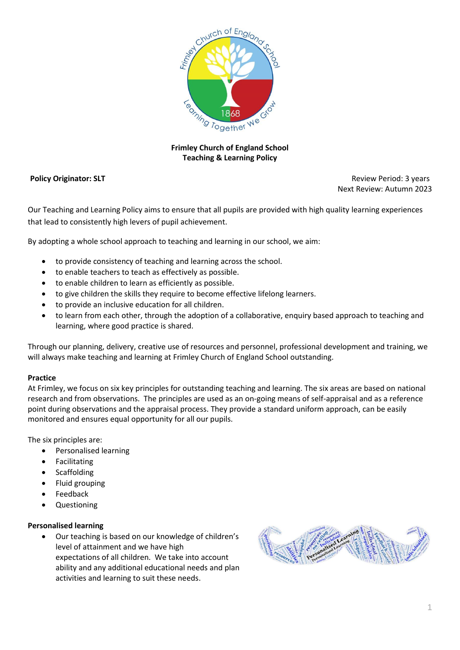

# **Frimley Church of England School Teaching & Learning Policy**

**Policy Originator: SLT Policy Originator: SLT Review Period: 3 years Review Period: 3 years Review Period: 3 years** Next Review: Autumn 2023

Our Teaching and Learning Policy aims to ensure that all pupils are provided with high quality learning experiences that lead to consistently high levers of pupil achievement.

By adopting a whole school approach to teaching and learning in our school, we aim:

- to provide consistency of teaching and learning across the school.
- to enable teachers to teach as effectively as possible.
- to enable children to learn as efficiently as possible.
- to give children the skills they require to become effective lifelong learners.
- to provide an inclusive education for all children.
- to learn from each other, through the adoption of a collaborative, enquiry based approach to teaching and learning, where good practice is shared.

Through our planning, delivery, creative use of resources and personnel, professional development and training, we will always make teaching and learning at Frimley Church of England School outstanding.

# **Practice**

At Frimley, we focus on six key principles for outstanding teaching and learning. The six areas are based on national research and from observations. The principles are used as an on-going means of self-appraisal and as a reference point during observations and the appraisal process. They provide a standard uniform approach, can be easily monitored and ensures equal opportunity for all our pupils.

The six principles are:

- Personalised learning
- Facilitating
- Scaffolding
- Fluid grouping
- Feedback
- Questioning

# **Personalised learning**

 Our teaching is based on our knowledge of children's level of attainment and we have high expectations of all children. We take into account ability and any additional educational needs and plan activities and learning to suit these needs.

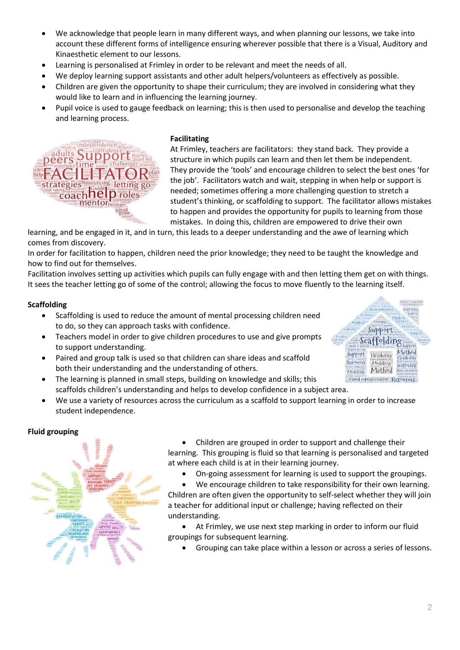- We acknowledge that people learn in many different ways, and when planning our lessons, we take into account these different forms of intelligence ensuring wherever possible that there is a Visual, Auditory and Kinaesthetic element to our lessons.
- Learning is personalised at Frimley in order to be relevant and meet the needs of all.
- We deploy learning support assistants and other adult helpers/volunteers as effectively as possible.
- Children are given the opportunity to shape their curriculum; they are involved in considering what they would like to learn and in influencing the learning journey.
- Pupil voice is used to gauge feedback on learning; this is then used to personalise and develop the teaching and learning process.



# **Facilitating**

At Frimley, teachers are facilitators: they stand back. They provide a structure in which pupils can learn and then let them be independent. They provide the 'tools' and encourage children to select the best ones 'for the job'. Facilitators watch and wait, stepping in when help or support is needed; sometimes offering a more challenging question to stretch a student's thinking, or scaffolding to support. The facilitator allows mistakes to happen and provides the opportunity for pupils to learning from those mistakes. In doing this, children are empowered to drive their own

learning, and be engaged in it, and in turn, this leads to a deeper understanding and the awe of learning which comes from discovery.

In order for facilitation to happen, children need the prior knowledge; they need to be taught the knowledge and how to find out for themselves.

Facilitation involves setting up activities which pupils can fully engage with and then letting them get on with things. It sees the teacher letting go of some of the control; allowing the focus to move fluently to the learning itself.

# **Scaffolding**

- Scaffolding is used to reduce the amount of mental processing children need to do, so they can approach tasks with confidence.
- Teachers model in order to give children procedures to use and give prompts to support understanding.
- Paired and group talk is used so that children can share ideas and scaffold both their understanding and the understanding of others.
- The learning is planned in small steps, building on knowledge and skills; this scaffolds children's understanding and helps to develop confidence in a subject area.
- We use a variety of resources across the curriculum as a scaffold to support learning in order to increase student independence.

# **Fluid grouping**



 Children are grouped in order to support and challenge their learning. This grouping is fluid so that learning is personalised and targeted at where each child is at in their learning journey.

- On-going assessment for learning is used to support the groupings.
- We encourage children to take responsibility for their own learning. Children are often given the opportunity to self-select whether they will join

a teacher for additional input or challenge; having reflected on their understanding.

 At Frimley, we use next step marking in order to inform our fluid groupings for subsequent learning.

Grouping can take place within a lesson or across a series of lessons.

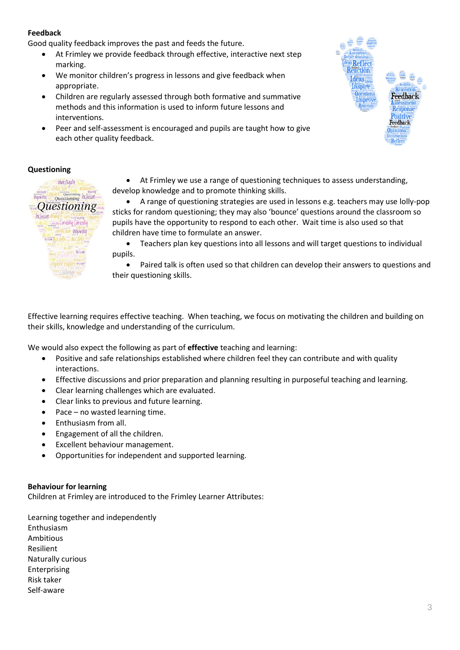# **Feedback**

Good quality feedback improves the past and feeds the future.

- At Frimley we provide feedback through effective, interactive next step marking.
- We monitor children's progress in lessons and give feedback when appropriate.
- Children are regularly assessed through both formative and summative methods and this information is used to inform future lessons and interventions.
- Peer and self-assessment is encouraged and pupils are taught how to give each other quality feedback.



# **Questioning**



 At Frimley we use a range of questioning techniques to assess understanding, develop knowledge and to promote thinking skills.

 A range of questioning strategies are used in lessons e.g. teachers may use lolly-pop sticks for random questioning; they may also 'bounce' questions around the classroom so pupils have the opportunity to respond to each other. Wait time is also used so that children have time to formulate an answer.

 Teachers plan key questions into all lessons and will target questions to individual pupils.

• Paired talk is often used so that children can develop their answers to questions and their questioning skills.

Effective learning requires effective teaching. When teaching, we focus on motivating the children and building on their skills, knowledge and understanding of the curriculum.

We would also expect the following as part of **effective** teaching and learning:

- Positive and safe relationships established where children feel they can contribute and with quality interactions.
- Effective discussions and prior preparation and planning resulting in purposeful teaching and learning.
- Clear learning challenges which are evaluated.
- Clear links to previous and future learning.
- Pace no wasted learning time.
- Enthusiasm from all.
- Engagement of all the children.
- Excellent behaviour management.
- Opportunities for independent and supported learning.

# **Behaviour for learning**

Children at Frimley are introduced to the Frimley Learner Attributes:

Learning together and independently Enthusiasm Ambitious Resilient Naturally curious Enterprising Risk taker Self-aware